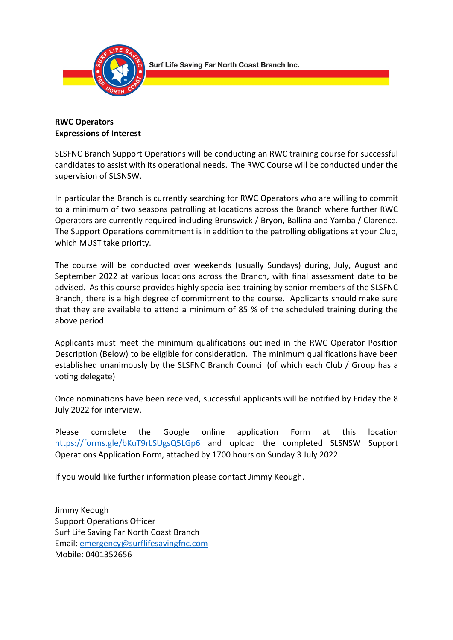

# **RWC Operators Expressions of Interest**

SLSFNC Branch Support Operations will be conducting an RWC training course for successful candidates to assist with its operational needs. The RWC Course will be conducted under the supervision of SLSNSW.

In particular the Branch is currently searching for RWC Operators who are willing to commit to a minimum of two seasons patrolling at locations across the Branch where further RWC Operators are currently required including Brunswick / Bryon, Ballina and Yamba / Clarence. The Support Operations commitment is in addition to the patrolling obligations at your Club, which MUST take priority.

The course will be conducted over weekends (usually Sundays) during, July, August and September 2022 at various locations across the Branch, with final assessment date to be advised. As this course provides highly specialised training by senior members of the SLSFNC Branch, there is a high degree of commitment to the course. Applicants should make sure that they are available to attend a minimum of 85 % of the scheduled training during the above period.

Applicants must meet the minimum qualifications outlined in the RWC Operator Position Description (Below) to be eligible for consideration. The minimum qualifications have been established unanimously by the SLSFNC Branch Council (of which each Club / Group has a voting delegate)

Once nominations have been received, successful applicants will be notified by Friday the 8 July 2022 for interview.

Please complete the Google online application Form at this location https://forms.gle/bKuT9rLSUgsQ5LGp6 and upload the completed SLSNSW Support Operations Application Form, attached by 1700 hours on Sunday 3 July 2022.

If you would like further information please contact Jimmy Keough.

Jimmy Keough Support Operations Officer Surf Life Saving Far North Coast Branch Email: emergency@surflifesavingfnc.com Mobile: 0401352656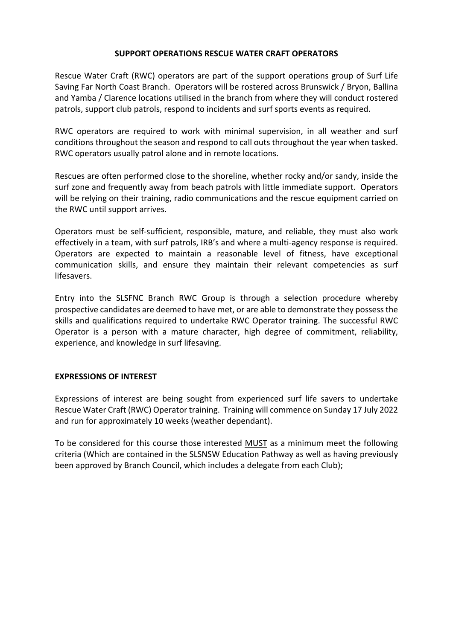#### **SUPPORT OPERATIONS RESCUE WATER CRAFT OPERATORS**

Rescue Water Craft (RWC) operators are part of the support operations group of Surf Life Saving Far North Coast Branch. Operators will be rostered across Brunswick / Bryon, Ballina and Yamba / Clarence locations utilised in the branch from where they will conduct rostered patrols, support club patrols, respond to incidents and surf sports events as required.

RWC operators are required to work with minimal supervision, in all weather and surf conditions throughout the season and respond to call outs throughout the year when tasked. RWC operators usually patrol alone and in remote locations.

Rescues are often performed close to the shoreline, whether rocky and/or sandy, inside the surf zone and frequently away from beach patrols with little immediate support. Operators will be relying on their training, radio communications and the rescue equipment carried on the RWC until support arrives.

Operators must be self-sufficient, responsible, mature, and reliable, they must also work effectively in a team, with surf patrols, IRB's and where a multi-agency response is required. Operators are expected to maintain a reasonable level of fitness, have exceptional communication skills, and ensure they maintain their relevant competencies as surf lifesavers.

Entry into the SLSFNC Branch RWC Group is through a selection procedure whereby prospective candidates are deemed to have met, or are able to demonstrate they possess the skills and qualifications required to undertake RWC Operator training. The successful RWC Operator is a person with a mature character, high degree of commitment, reliability, experience, and knowledge in surf lifesaving.

#### **EXPRESSIONS OF INTEREST**

Expressions of interest are being sought from experienced surf life savers to undertake Rescue Water Craft (RWC) Operator training. Training will commence on Sunday 17 July 2022 and run for approximately 10 weeks (weather dependant).

To be considered for this course those interested MUST as a minimum meet the following criteria (Which are contained in the SLSNSW Education Pathway as well as having previously been approved by Branch Council, which includes a delegate from each Club);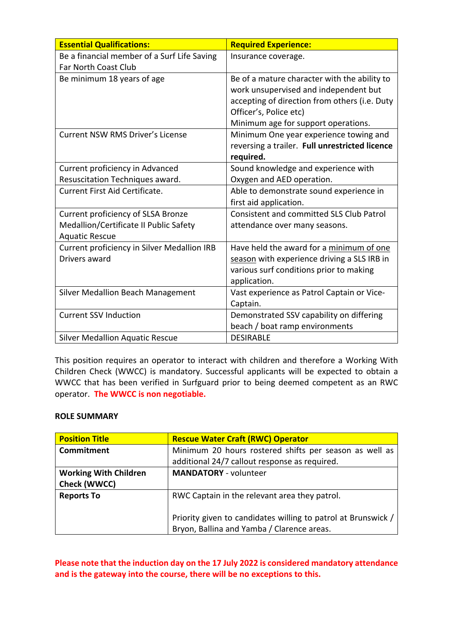| <b>Essential Qualifications:</b>            | <b>Required Experience:</b>                     |
|---------------------------------------------|-------------------------------------------------|
| Be a financial member of a Surf Life Saving | Insurance coverage.                             |
| <b>Far North Coast Club</b>                 |                                                 |
| Be minimum 18 years of age                  | Be of a mature character with the ability to    |
|                                             | work unsupervised and independent but           |
|                                             | accepting of direction from others (i.e. Duty   |
|                                             | Officer's, Police etc)                          |
|                                             | Minimum age for support operations.             |
| <b>Current NSW RMS Driver's License</b>     | Minimum One year experience towing and          |
|                                             | reversing a trailer. Full unrestricted licence  |
|                                             | required.                                       |
| Current proficiency in Advanced             | Sound knowledge and experience with             |
| Resuscitation Techniques award.             | Oxygen and AED operation.                       |
| <b>Current First Aid Certificate.</b>       | Able to demonstrate sound experience in         |
|                                             | first aid application.                          |
| Current proficiency of SLSA Bronze          | <b>Consistent and committed SLS Club Patrol</b> |
| Medallion/Certificate II Public Safety      | attendance over many seasons.                   |
| <b>Aquatic Rescue</b>                       |                                                 |
| Current proficiency in Silver Medallion IRB | Have held the award for a minimum of one        |
| Drivers award                               | season with experience driving a SLS IRB in     |
|                                             | various surf conditions prior to making         |
|                                             | application.                                    |
| <b>Silver Medallion Beach Management</b>    | Vast experience as Patrol Captain or Vice-      |
|                                             | Captain.                                        |
| <b>Current SSV Induction</b>                | Demonstrated SSV capability on differing        |
|                                             | beach / boat ramp environments                  |
| <b>Silver Medallion Aquatic Rescue</b>      | <b>DESIRABLE</b>                                |

This position requires an operator to interact with children and therefore a Working With Children Check (WWCC) is mandatory. Successful applicants will be expected to obtain a WWCC that has been verified in Surfguard prior to being deemed competent as an RWC operator. **The WWCC is non negotiable.**

#### **ROLE SUMMARY**

| <b>Position Title</b>        | <b>Rescue Water Craft (RWC) Operator</b>                      |  |  |  |
|------------------------------|---------------------------------------------------------------|--|--|--|
| <b>Commitment</b>            | Minimum 20 hours rostered shifts per season as well as        |  |  |  |
|                              | additional 24/7 callout response as required.                 |  |  |  |
| <b>Working With Children</b> | <b>MANDATORY</b> - volunteer                                  |  |  |  |
| <b>Check (WWCC)</b>          |                                                               |  |  |  |
| <b>Reports To</b>            | RWC Captain in the relevant area they patrol.                 |  |  |  |
|                              |                                                               |  |  |  |
|                              | Priority given to candidates willing to patrol at Brunswick / |  |  |  |
|                              | Bryon, Ballina and Yamba / Clarence areas.                    |  |  |  |

**Please note that the induction day on the 17 July 2022 is considered mandatory attendance and is the gateway into the course, there will be no exceptions to this.**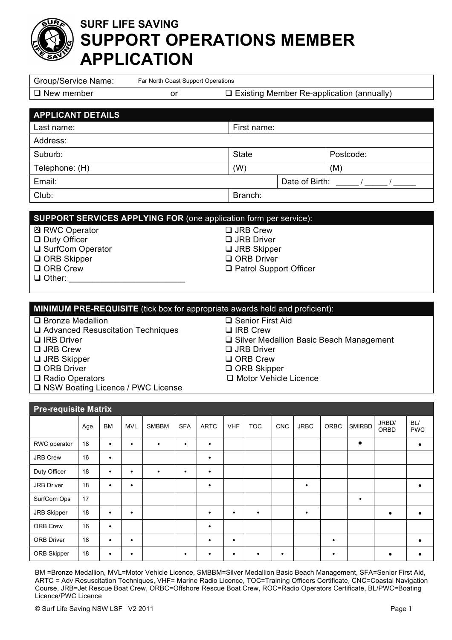# **SURF LIFE SAVING SUPPORT OPERATIONS MEMBER APPLICATION**

| <b>Group/Service Name:</b>                                                   |                                                                                               |           |            | Far North Coast Support Operations |                                          |                    |                                                  |                               |            |             |      |               |                         |                   |  |
|------------------------------------------------------------------------------|-----------------------------------------------------------------------------------------------|-----------|------------|------------------------------------|------------------------------------------|--------------------|--------------------------------------------------|-------------------------------|------------|-------------|------|---------------|-------------------------|-------------------|--|
| $\Box$ New member                                                            | or                                                                                            |           |            |                                    |                                          |                    | $\Box$ Existing Member Re-application (annually) |                               |            |             |      |               |                         |                   |  |
|                                                                              |                                                                                               |           |            |                                    |                                          |                    |                                                  |                               |            |             |      |               |                         |                   |  |
| <b>APPLICANT DETAILS</b>                                                     |                                                                                               |           |            |                                    |                                          |                    |                                                  |                               |            |             |      |               |                         |                   |  |
| Last name:<br>Address:                                                       |                                                                                               |           |            |                                    |                                          |                    |                                                  | First name:                   |            |             |      |               |                         |                   |  |
|                                                                              |                                                                                               |           |            |                                    |                                          |                    |                                                  |                               |            |             |      |               |                         |                   |  |
|                                                                              | Suburb:                                                                                       |           |            |                                    |                                          |                    | <b>State</b>                                     |                               |            |             |      | Postcode:     |                         |                   |  |
|                                                                              | Telephone: (H)                                                                                |           |            |                                    |                                          |                    | (W)<br>(M)<br>Date of Birth:                     |                               |            |             |      |               |                         |                   |  |
|                                                                              | Email:                                                                                        |           |            |                                    |                                          |                    |                                                  |                               |            |             |      |               | $\frac{1}{\sqrt{2\pi}}$ |                   |  |
| Club:                                                                        |                                                                                               |           |            |                                    |                                          |                    |                                                  | Branch:                       |            |             |      |               |                         |                   |  |
| <b>SUPPORT SERVICES APPLYING FOR (one application form per service):</b>     |                                                                                               |           |            |                                    |                                          |                    |                                                  |                               |            |             |      |               |                         |                   |  |
| ⊠ RWC Operator                                                               |                                                                                               |           |            |                                    |                                          |                    |                                                  | $\overline{\square}$ JRB Crew |            |             |      |               |                         |                   |  |
| □ Duty Officer                                                               |                                                                                               |           |            |                                    |                                          |                    | □ JRB Driver                                     |                               |            |             |      |               |                         |                   |  |
| □ SurfCom Operator                                                           |                                                                                               |           |            |                                    |                                          | $\Box$ JRB Skipper |                                                  |                               |            |             |      |               |                         |                   |  |
| $\Box$ ORB Skipper<br>□ ORB Crew                                             |                                                                                               |           |            |                                    | □ ORB Driver<br>□ Patrol Support Officer |                    |                                                  |                               |            |             |      |               |                         |                   |  |
| $\Box$ Other:                                                                |                                                                                               |           |            |                                    |                                          |                    |                                                  |                               |            |             |      |               |                         |                   |  |
|                                                                              |                                                                                               |           |            |                                    |                                          |                    |                                                  |                               |            |             |      |               |                         |                   |  |
|                                                                              |                                                                                               |           |            |                                    |                                          |                    |                                                  |                               |            |             |      |               |                         |                   |  |
| MINIMUM PRE-REQUISITE (tick box for appropriate awards held and proficient): |                                                                                               |           |            |                                    |                                          |                    |                                                  |                               |            |             |      |               |                         |                   |  |
|                                                                              | □ Bronze Medallion<br>□ Senior First Aid<br>□ Advanced Resuscitation Techniques<br>□ IRB Crew |           |            |                                    |                                          |                    |                                                  |                               |            |             |      |               |                         |                   |  |
|                                                                              | □ IRB Driver<br>□ Silver Medallion Basic Beach Management                                     |           |            |                                    |                                          |                    |                                                  |                               |            |             |      |               |                         |                   |  |
| □ JRB Crew<br>$\Box$ JRB Driver                                              |                                                                                               |           |            |                                    |                                          |                    |                                                  |                               |            |             |      |               |                         |                   |  |
| $\Box$ JRB Skipper<br>□ ORB Driver                                           |                                                                                               |           |            |                                    | □ ORB Crew<br>□ ORB Skipper              |                    |                                                  |                               |            |             |      |               |                         |                   |  |
| Motor Vehicle Licence<br>□ Radio Operators                                   |                                                                                               |           |            |                                    |                                          |                    |                                                  |                               |            |             |      |               |                         |                   |  |
| □ NSW Boating Licence / PWC License                                          |                                                                                               |           |            |                                    |                                          |                    |                                                  |                               |            |             |      |               |                         |                   |  |
|                                                                              |                                                                                               |           |            |                                    |                                          |                    |                                                  |                               |            |             |      |               |                         |                   |  |
| <b>Pre-requisite Matrix</b>                                                  |                                                                                               |           |            |                                    |                                          |                    |                                                  |                               |            |             |      |               |                         |                   |  |
|                                                                              | Age                                                                                           | <b>BM</b> | <b>MVL</b> | <b>SMBBM</b>                       | <b>SFA</b>                               | <b>ARTC</b>        | <b>VHF</b>                                       | <b>TOC</b>                    | <b>CNC</b> | <b>JRBC</b> | ORBC | <b>SMIRBD</b> | JRBD/<br>ORBD           | BL/<br><b>PWC</b> |  |
|                                                                              |                                                                                               |           |            |                                    |                                          |                    |                                                  |                               |            |             |      |               |                         |                   |  |
| RWC operator                                                                 | 18                                                                                            | $\bullet$ | $\bullet$  | $\bullet$                          | $\bullet$                                | $\bullet$          |                                                  |                               |            |             |      | $\bullet$     |                         | $\bullet$         |  |
| JRB Crew                                                                     | 16                                                                                            | $\bullet$ |            |                                    |                                          | $\bullet$          |                                                  |                               |            |             |      |               |                         |                   |  |
| Duty Officer                                                                 | 18                                                                                            | $\bullet$ | $\bullet$  | $\bullet$                          | $\bullet$                                | $\bullet$          |                                                  |                               |            |             |      |               |                         |                   |  |
| JRB Driver                                                                   | 18                                                                                            | $\bullet$ | $\bullet$  |                                    |                                          | $\bullet$          |                                                  |                               |            | $\bullet$   |      |               |                         | $\bullet$         |  |
| SurfCom Ops                                                                  | 17                                                                                            |           |            |                                    |                                          |                    |                                                  |                               |            |             |      | $\bullet$     |                         |                   |  |

BM =Bronze Medallion, MVL=Motor Vehicle Licence, SMBBM=Silver Medallion Basic Beach Management, SFA=Senior First Aid, ARTC = Adv Resuscitation Techniques, VHF= Marine Radio Licence, TOC=Training Officers Certificate, CNC=Coastal Navigation Course, JRB=Jet Rescue Boat Crew, ORBC=Offshore Rescue Boat Crew, ROC=Radio Operators Certificate, BL/PWC=Boating Licence/PWC Licence

ORB Driver 18 • • • • • **●** ORB Skipper 18 • • • • • • • • **● ●**

ORB Crew 16 • •